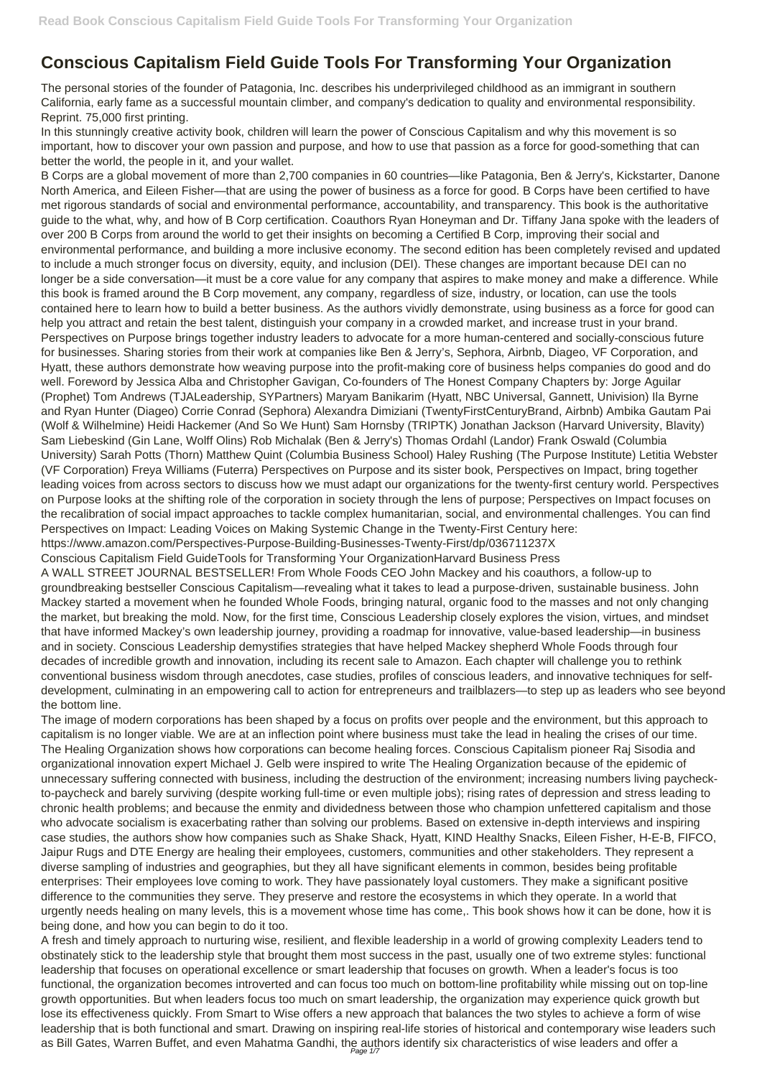## **Conscious Capitalism Field Guide Tools For Transforming Your Organization**

The personal stories of the founder of Patagonia, Inc. describes his underprivileged childhood as an immigrant in southern California, early fame as a successful mountain climber, and company's dedication to quality and environmental responsibility. Reprint. 75,000 first printing.

In this stunningly creative activity book, children will learn the power of Conscious Capitalism and why this movement is so important, how to discover your own passion and purpose, and how to use that passion as a force for good-something that can better the world, the people in it, and your wallet.

B Corps are a global movement of more than 2,700 companies in 60 countries—like Patagonia, Ben & Jerry's, Kickstarter, Danone North America, and Eileen Fisher—that are using the power of business as a force for good. B Corps have been certified to have met rigorous standards of social and environmental performance, accountability, and transparency. This book is the authoritative guide to the what, why, and how of B Corp certification. Coauthors Ryan Honeyman and Dr. Tiffany Jana spoke with the leaders of over 200 B Corps from around the world to get their insights on becoming a Certified B Corp, improving their social and environmental performance, and building a more inclusive economy. The second edition has been completely revised and updated to include a much stronger focus on diversity, equity, and inclusion (DEI). These changes are important because DEI can no longer be a side conversation—it must be a core value for any company that aspires to make money and make a difference. While this book is framed around the B Corp movement, any company, regardless of size, industry, or location, can use the tools contained here to learn how to build a better business. As the authors vividly demonstrate, using business as a force for good can help you attract and retain the best talent, distinguish your company in a crowded market, and increase trust in your brand. Perspectives on Purpose brings together industry leaders to advocate for a more human-centered and socially-conscious future for businesses. Sharing stories from their work at companies like Ben & Jerry's, Sephora, Airbnb, Diageo, VF Corporation, and Hyatt, these authors demonstrate how weaving purpose into the profit-making core of business helps companies do good and do well. Foreword by Jessica Alba and Christopher Gavigan, Co-founders of The Honest Company Chapters by: Jorge Aguilar (Prophet) Tom Andrews (TJALeadership, SYPartners) Maryam Banikarim (Hyatt, NBC Universal, Gannett, Univision) Ila Byrne and Ryan Hunter (Diageo) Corrie Conrad (Sephora) Alexandra Dimiziani (TwentyFirstCenturyBrand, Airbnb) Ambika Gautam Pai (Wolf & Wilhelmine) Heidi Hackemer (And So We Hunt) Sam Hornsby (TRIPTK) Jonathan Jackson (Harvard University, Blavity) Sam Liebeskind (Gin Lane, Wolff Olins) Rob Michalak (Ben & Jerry's) Thomas Ordahl (Landor) Frank Oswald (Columbia University) Sarah Potts (Thorn) Matthew Quint (Columbia Business School) Haley Rushing (The Purpose Institute) Letitia Webster (VF Corporation) Freya Williams (Futerra) Perspectives on Purpose and its sister book, Perspectives on Impact, bring together leading voices from across sectors to discuss how we must adapt our organizations for the twenty-first century world. Perspectives on Purpose looks at the shifting role of the corporation in society through the lens of purpose; Perspectives on Impact focuses on the recalibration of social impact approaches to tackle complex humanitarian, social, and environmental challenges. You can find Perspectives on Impact: Leading Voices on Making Systemic Change in the Twenty-First Century here: https://www.amazon.com/Perspectives-Purpose-Building-Businesses-Twenty-First/dp/036711237X

Conscious Capitalism Field GuideTools for Transforming Your OrganizationHarvard Business Press

A WALL STREET JOURNAL BESTSELLER! From Whole Foods CEO John Mackey and his coauthors, a follow-up to groundbreaking bestseller Conscious Capitalism—revealing what it takes to lead a purpose-driven, sustainable business. John Mackey started a movement when he founded Whole Foods, bringing natural, organic food to the masses and not only changing the market, but breaking the mold. Now, for the first time, Conscious Leadership closely explores the vision, virtues, and mindset that have informed Mackey's own leadership journey, providing a roadmap for innovative, value-based leadership—in business and in society. Conscious Leadership demystifies strategies that have helped Mackey shepherd Whole Foods through four decades of incredible growth and innovation, including its recent sale to Amazon. Each chapter will challenge you to rethink conventional business wisdom through anecdotes, case studies, profiles of conscious leaders, and innovative techniques for selfdevelopment, culminating in an empowering call to action for entrepreneurs and trailblazers—to step up as leaders who see beyond the bottom line.

The image of modern corporations has been shaped by a focus on profits over people and the environment, but this approach to capitalism is no longer viable. We are at an inflection point where business must take the lead in healing the crises of our time. The Healing Organization shows how corporations can become healing forces. Conscious Capitalism pioneer Raj Sisodia and organizational innovation expert Michael J. Gelb were inspired to write The Healing Organization because of the epidemic of unnecessary suffering connected with business, including the destruction of the environment; increasing numbers living paycheckto-paycheck and barely surviving (despite working full-time or even multiple jobs); rising rates of depression and stress leading to chronic health problems; and because the enmity and dividedness between those who champion unfettered capitalism and those who advocate socialism is exacerbating rather than solving our problems. Based on extensive in-depth interviews and inspiring case studies, the authors show how companies such as Shake Shack, Hyatt, KIND Healthy Snacks, Eileen Fisher, H-E-B, FIFCO, Jaipur Rugs and DTE Energy are healing their employees, customers, communities and other stakeholders. They represent a diverse sampling of industries and geographies, but they all have significant elements in common, besides being profitable enterprises: Their employees love coming to work. They have passionately loyal customers. They make a significant positive difference to the communities they serve. They preserve and restore the ecosystems in which they operate. In a world that urgently needs healing on many levels, this is a movement whose time has come,. This book shows how it can be done, how it is being done, and how you can begin to do it too. A fresh and timely approach to nurturing wise, resilient, and flexible leadership in a world of growing complexity Leaders tend to obstinately stick to the leadership style that brought them most success in the past, usually one of two extreme styles: functional leadership that focuses on operational excellence or smart leadership that focuses on growth. When a leader's focus is too functional, the organization becomes introverted and can focus too much on bottom-line profitability while missing out on top-line growth opportunities. But when leaders focus too much on smart leadership, the organization may experience quick growth but lose its effectiveness quickly. From Smart to Wise offers a new approach that balances the two styles to achieve a form of wise leadership that is both functional and smart. Drawing on inspiring real-life stories of historical and contemporary wise leaders such as Bill Gates, Warren Buffet, and even Mahatma Gandhi, the authors identify six characteristics of wise leaders and offer a Page 1/7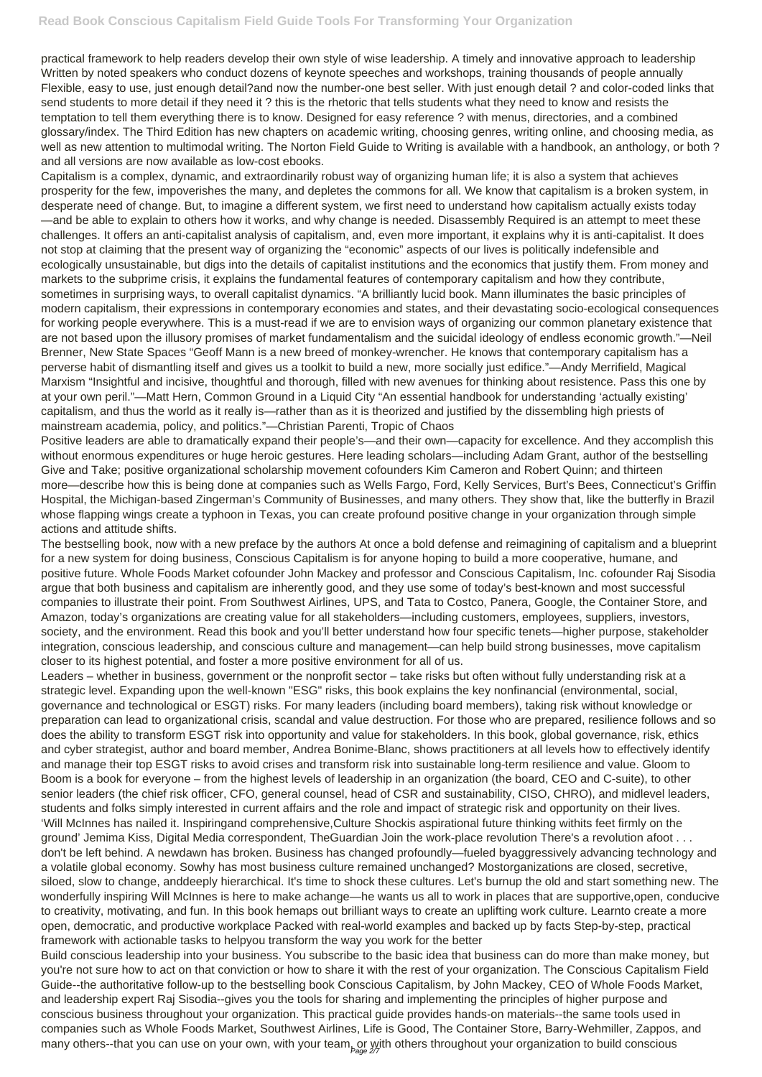practical framework to help readers develop their own style of wise leadership. A timely and innovative approach to leadership Written by noted speakers who conduct dozens of keynote speeches and workshops, training thousands of people annually Flexible, easy to use, just enough detail?and now the number-one best seller. With just enough detail ? and color-coded links that send students to more detail if they need it ? this is the rhetoric that tells students what they need to know and resists the temptation to tell them everything there is to know. Designed for easy reference ? with menus, directories, and a combined glossary/index. The Third Edition has new chapters on academic writing, choosing genres, writing online, and choosing media, as well as new attention to multimodal writing. The Norton Field Guide to Writing is available with a handbook, an anthology, or both ? and all versions are now available as low-cost ebooks.

Capitalism is a complex, dynamic, and extraordinarily robust way of organizing human life; it is also a system that achieves prosperity for the few, impoverishes the many, and depletes the commons for all. We know that capitalism is a broken system, in desperate need of change. But, to imagine a different system, we first need to understand how capitalism actually exists today —and be able to explain to others how it works, and why change is needed. Disassembly Required is an attempt to meet these challenges. It offers an anti-capitalist analysis of capitalism, and, even more important, it explains why it is anti-capitalist. It does not stop at claiming that the present way of organizing the "economic" aspects of our lives is politically indefensible and ecologically unsustainable, but digs into the details of capitalist institutions and the economics that justify them. From money and markets to the subprime crisis, it explains the fundamental features of contemporary capitalism and how they contribute, sometimes in surprising ways, to overall capitalist dynamics. "A brilliantly lucid book. Mann illuminates the basic principles of modern capitalism, their expressions in contemporary economies and states, and their devastating socio-ecological consequences for working people everywhere. This is a must-read if we are to envision ways of organizing our common planetary existence that are not based upon the illusory promises of market fundamentalism and the suicidal ideology of endless economic growth."—Neil Brenner, New State Spaces "Geoff Mann is a new breed of monkey-wrencher. He knows that contemporary capitalism has a perverse habit of dismantling itself and gives us a toolkit to build a new, more socially just edifice."—Andy Merrifield, Magical Marxism "Insightful and incisive, thoughtful and thorough, filled with new avenues for thinking about resistence. Pass this one by at your own peril."—Matt Hern, Common Ground in a Liquid City "An essential handbook for understanding 'actually existing' capitalism, and thus the world as it really is—rather than as it is theorized and justified by the dissembling high priests of mainstream academia, policy, and politics."—Christian Parenti, Tropic of Chaos

Leaders – whether in business, government or the nonprofit sector – take risks but often without fully understanding risk at a strategic level. Expanding upon the well-known "ESG" risks, this book explains the key nonfinancial (environmental, social, governance and technological or ESGT) risks. For many leaders (including board members), taking risk without knowledge or preparation can lead to organizational crisis, scandal and value destruction. For those who are prepared, resilience follows and so does the ability to transform ESGT risk into opportunity and value for stakeholders. In this book, global governance, risk, ethics and cyber strategist, author and board member, Andrea Bonime-Blanc, shows practitioners at all levels how to effectively identify and manage their top ESGT risks to avoid crises and transform risk into sustainable long-term resilience and value. Gloom to Boom is a book for everyone – from the highest levels of leadership in an organization (the board, CEO and C-suite), to other senior leaders (the chief risk officer, CFO, general counsel, head of CSR and sustainability, CISO, CHRO), and midlevel leaders, students and folks simply interested in current affairs and the role and impact of strategic risk and opportunity on their lives. 'Will McInnes has nailed it. Inspiringand comprehensive,Culture Shockis aspirational future thinking withits feet firmly on the ground' Jemima Kiss, Digital Media correspondent, TheGuardian Join the work-place revolution There's a revolution afoot . . . don't be left behind. A newdawn has broken. Business has changed profoundly—fueled byaggressively advancing technology and a volatile global economy. Sowhy has most business culture remained unchanged? Mostorganizations are closed, secretive, siloed, slow to change, anddeeply hierarchical. It's time to shock these cultures. Let's burnup the old and start something new. The wonderfully inspiring Will McInnes is here to make achange—he wants us all to work in places that are supportive,open, conducive to creativity, motivating, and fun. In this book hemaps out brilliant ways to create an uplifting work culture. Learnto create a more open, democratic, and productive workplace Packed with real-world examples and backed up by facts Step-by-step, practical framework with actionable tasks to helpyou transform the way you work for the better Build conscious leadership into your business. You subscribe to the basic idea that business can do more than make money, but you're not sure how to act on that conviction or how to share it with the rest of your organization. The Conscious Capitalism Field Guide--the authoritative follow-up to the bestselling book Conscious Capitalism, by John Mackey, CEO of Whole Foods Market, and leadership expert Raj Sisodia--gives you the tools for sharing and implementing the principles of higher purpose and conscious business throughout your organization. This practical guide provides hands-on materials--the same tools used in companies such as Whole Foods Market, Southwest Airlines, Life is Good, The Container Store, Barry-Wehmiller, Zappos, and many others--that you can use on your own, with your team, or with others throughout your organization to build conscious

Positive leaders are able to dramatically expand their people's—and their own—capacity for excellence. And they accomplish this without enormous expenditures or huge heroic gestures. Here leading scholars—including Adam Grant, author of the bestselling Give and Take; positive organizational scholarship movement cofounders Kim Cameron and Robert Quinn; and thirteen more—describe how this is being done at companies such as Wells Fargo, Ford, Kelly Services, Burt's Bees, Connecticut's Griffin Hospital, the Michigan-based Zingerman's Community of Businesses, and many others. They show that, like the butterfly in Brazil whose flapping wings create a typhoon in Texas, you can create profound positive change in your organization through simple actions and attitude shifts.

The bestselling book, now with a new preface by the authors At once a bold defense and reimagining of capitalism and a blueprint for a new system for doing business, Conscious Capitalism is for anyone hoping to build a more cooperative, humane, and positive future. Whole Foods Market cofounder John Mackey and professor and Conscious Capitalism, Inc. cofounder Raj Sisodia argue that both business and capitalism are inherently good, and they use some of today's best-known and most successful companies to illustrate their point. From Southwest Airlines, UPS, and Tata to Costco, Panera, Google, the Container Store, and Amazon, today's organizations are creating value for all stakeholders—including customers, employees, suppliers, investors, society, and the environment. Read this book and you'll better understand how four specific tenets—higher purpose, stakeholder integration, conscious leadership, and conscious culture and management—can help build strong businesses, move capitalism closer to its highest potential, and foster a more positive environment for all of us.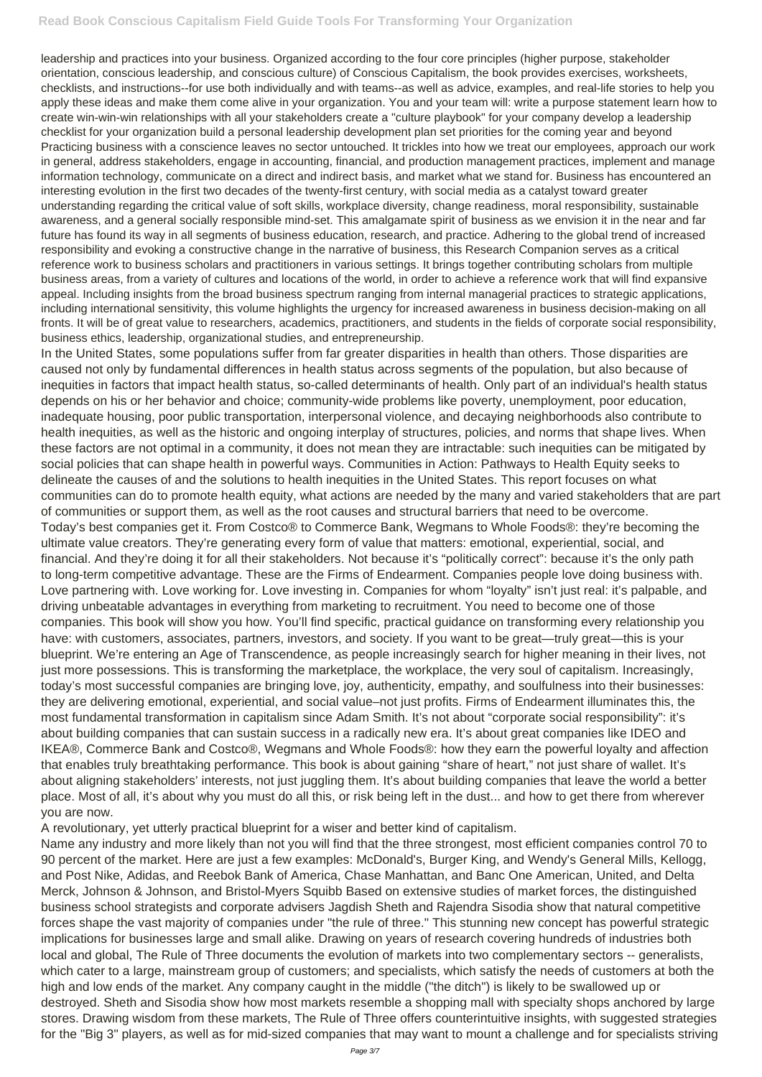leadership and practices into your business. Organized according to the four core principles (higher purpose, stakeholder orientation, conscious leadership, and conscious culture) of Conscious Capitalism, the book provides exercises, worksheets, checklists, and instructions--for use both individually and with teams--as well as advice, examples, and real-life stories to help you apply these ideas and make them come alive in your organization. You and your team will: write a purpose statement learn how to create win-win-win relationships with all your stakeholders create a "culture playbook" for your company develop a leadership checklist for your organization build a personal leadership development plan set priorities for the coming year and beyond Practicing business with a conscience leaves no sector untouched. It trickles into how we treat our employees, approach our work in general, address stakeholders, engage in accounting, financial, and production management practices, implement and manage information technology, communicate on a direct and indirect basis, and market what we stand for. Business has encountered an interesting evolution in the first two decades of the twenty-first century, with social media as a catalyst toward greater understanding regarding the critical value of soft skills, workplace diversity, change readiness, moral responsibility, sustainable awareness, and a general socially responsible mind-set. This amalgamate spirit of business as we envision it in the near and far future has found its way in all segments of business education, research, and practice. Adhering to the global trend of increased responsibility and evoking a constructive change in the narrative of business, this Research Companion serves as a critical reference work to business scholars and practitioners in various settings. It brings together contributing scholars from multiple business areas, from a variety of cultures and locations of the world, in order to achieve a reference work that will find expansive appeal. Including insights from the broad business spectrum ranging from internal managerial practices to strategic applications, including international sensitivity, this volume highlights the urgency for increased awareness in business decision-making on all fronts. It will be of great value to researchers, academics, practitioners, and students in the fields of corporate social responsibility, business ethics, leadership, organizational studies, and entrepreneurship.

In the United States, some populations suffer from far greater disparities in health than others. Those disparities are caused not only by fundamental differences in health status across segments of the population, but also because of inequities in factors that impact health status, so-called determinants of health. Only part of an individual's health status depends on his or her behavior and choice; community-wide problems like poverty, unemployment, poor education, inadequate housing, poor public transportation, interpersonal violence, and decaying neighborhoods also contribute to health inequities, as well as the historic and ongoing interplay of structures, policies, and norms that shape lives. When these factors are not optimal in a community, it does not mean they are intractable: such inequities can be mitigated by social policies that can shape health in powerful ways. Communities in Action: Pathways to Health Equity seeks to delineate the causes of and the solutions to health inequities in the United States. This report focuses on what communities can do to promote health equity, what actions are needed by the many and varied stakeholders that are part of communities or support them, as well as the root causes and structural barriers that need to be overcome. Today's best companies get it. From Costco® to Commerce Bank, Wegmans to Whole Foods®: they're becoming the ultimate value creators. They're generating every form of value that matters: emotional, experiential, social, and financial. And they're doing it for all their stakeholders. Not because it's "politically correct": because it's the only path to long-term competitive advantage. These are the Firms of Endearment. Companies people love doing business with. Love partnering with. Love working for. Love investing in. Companies for whom "loyalty" isn't just real: it's palpable, and driving unbeatable advantages in everything from marketing to recruitment. You need to become one of those companies. This book will show you how. You'll find specific, practical guidance on transforming every relationship you have: with customers, associates, partners, investors, and society. If you want to be great—truly great—this is your blueprint. We're entering an Age of Transcendence, as people increasingly search for higher meaning in their lives, not just more possessions. This is transforming the marketplace, the workplace, the very soul of capitalism. Increasingly, today's most successful companies are bringing love, joy, authenticity, empathy, and soulfulness into their businesses: they are delivering emotional, experiential, and social value–not just profits. Firms of Endearment illuminates this, the most fundamental transformation in capitalism since Adam Smith. It's not about "corporate social responsibility": it's about building companies that can sustain success in a radically new era. It's about great companies like IDEO and IKEA®, Commerce Bank and Costco®, Wegmans and Whole Foods®: how they earn the powerful loyalty and affection that enables truly breathtaking performance. This book is about gaining "share of heart," not just share of wallet. It's about aligning stakeholders' interests, not just juggling them. It's about building companies that leave the world a better place. Most of all, it's about why you must do all this, or risk being left in the dust... and how to get there from wherever you are now.

A revolutionary, yet utterly practical blueprint for a wiser and better kind of capitalism.

Name any industry and more likely than not you will find that the three strongest, most efficient companies control 70 to 90 percent of the market. Here are just a few examples: McDonald's, Burger King, and Wendy's General Mills, Kellogg, and Post Nike, Adidas, and Reebok Bank of America, Chase Manhattan, and Banc One American, United, and Delta Merck, Johnson & Johnson, and Bristol-Myers Squibb Based on extensive studies of market forces, the distinguished business school strategists and corporate advisers Jagdish Sheth and Rajendra Sisodia show that natural competitive forces shape the vast majority of companies under "the rule of three." This stunning new concept has powerful strategic implications for businesses large and small alike. Drawing on years of research covering hundreds of industries both local and global, The Rule of Three documents the evolution of markets into two complementary sectors -- generalists, which cater to a large, mainstream group of customers; and specialists, which satisfy the needs of customers at both the high and low ends of the market. Any company caught in the middle ("the ditch") is likely to be swallowed up or destroyed. Sheth and Sisodia show how most markets resemble a shopping mall with specialty shops anchored by large stores. Drawing wisdom from these markets, The Rule of Three offers counterintuitive insights, with suggested strategies for the "Big 3" players, as well as for mid-sized companies that may want to mount a challenge and for specialists striving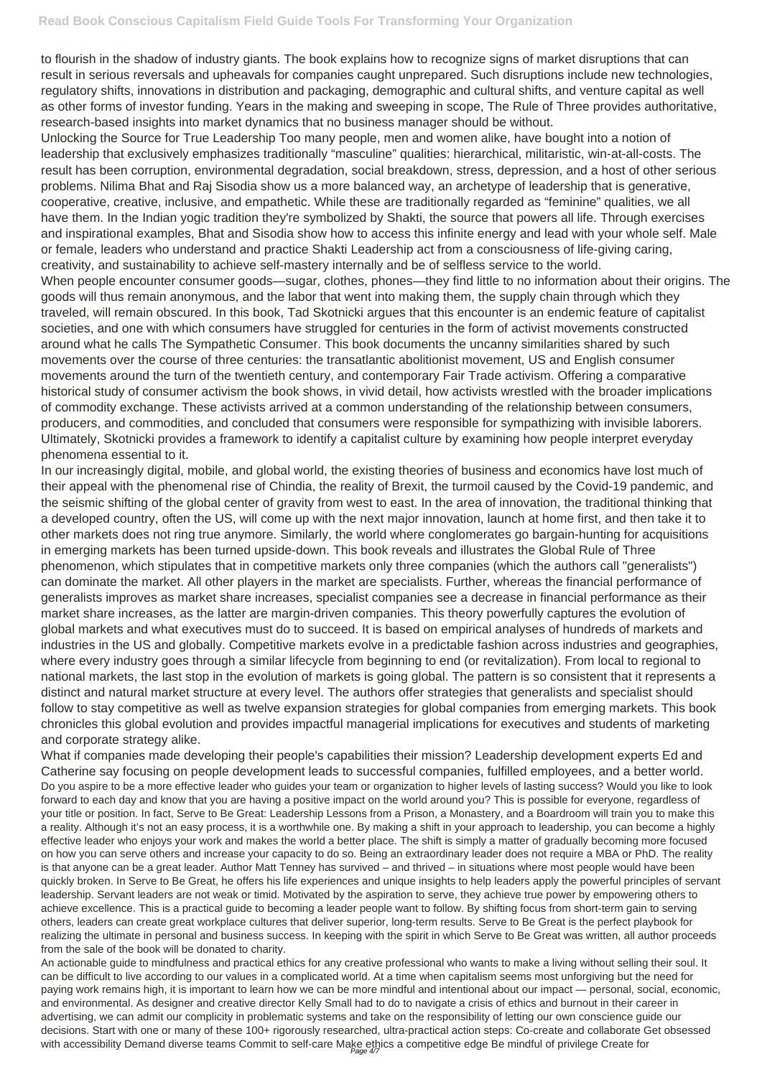to flourish in the shadow of industry giants. The book explains how to recognize signs of market disruptions that can result in serious reversals and upheavals for companies caught unprepared. Such disruptions include new technologies, regulatory shifts, innovations in distribution and packaging, demographic and cultural shifts, and venture capital as well as other forms of investor funding. Years in the making and sweeping in scope, The Rule of Three provides authoritative, research-based insights into market dynamics that no business manager should be without.

Unlocking the Source for True Leadership Too many people, men and women alike, have bought into a notion of leadership that exclusively emphasizes traditionally "masculine" qualities: hierarchical, militaristic, win-at-all-costs. The result has been corruption, environmental degradation, social breakdown, stress, depression, and a host of other serious problems. Nilima Bhat and Raj Sisodia show us a more balanced way, an archetype of leadership that is generative, cooperative, creative, inclusive, and empathetic. While these are traditionally regarded as "feminine" qualities, we all have them. In the Indian yogic tradition they're symbolized by Shakti, the source that powers all life. Through exercises and inspirational examples, Bhat and Sisodia show how to access this infinite energy and lead with your whole self. Male or female, leaders who understand and practice Shakti Leadership act from a consciousness of life-giving caring, creativity, and sustainability to achieve self-mastery internally and be of selfless service to the world.

When people encounter consumer goods—sugar, clothes, phones—they find little to no information about their origins. The goods will thus remain anonymous, and the labor that went into making them, the supply chain through which they traveled, will remain obscured. In this book, Tad Skotnicki argues that this encounter is an endemic feature of capitalist societies, and one with which consumers have struggled for centuries in the form of activist movements constructed around what he calls The Sympathetic Consumer. This book documents the uncanny similarities shared by such movements over the course of three centuries: the transatlantic abolitionist movement, US and English consumer movements around the turn of the twentieth century, and contemporary Fair Trade activism. Offering a comparative historical study of consumer activism the book shows, in vivid detail, how activists wrestled with the broader implications of commodity exchange. These activists arrived at a common understanding of the relationship between consumers, producers, and commodities, and concluded that consumers were responsible for sympathizing with invisible laborers. Ultimately, Skotnicki provides a framework to identify a capitalist culture by examining how people interpret everyday phenomena essential to it.

What if companies made developing their people's capabilities their mission? Leadership development experts Ed and Catherine say focusing on people development leads to successful companies, fulfilled employees, and a better world. Do you aspire to be a more effective leader who guides your team or organization to higher levels of lasting success? Would you like to look forward to each day and know that you are having a positive impact on the world around you? This is possible for everyone, regardless of your title or position. In fact, Serve to Be Great: Leadership Lessons from a Prison, a Monastery, and a Boardroom will train you to make this a reality. Although it's not an easy process, it is a worthwhile one. By making a shift in your approach to leadership, you can become a highly effective leader who enjoys your work and makes the world a better place. The shift is simply a matter of gradually becoming more focused on how you can serve others and increase your capacity to do so. Being an extraordinary leader does not require a MBA or PhD. The reality is that anyone can be a great leader. Author Matt Tenney has survived – and thrived – in situations where most people would have been quickly broken. In Serve to Be Great, he offers his life experiences and unique insights to help leaders apply the powerful principles of servant leadership. Servant leaders are not weak or timid. Motivated by the aspiration to serve, they achieve true power by empowering others to achieve excellence. This is a practical guide to becoming a leader people want to follow. By shifting focus from short-term gain to serving others, leaders can create great workplace cultures that deliver superior, long-term results. Serve to Be Great is the perfect playbook for realizing the ultimate in personal and business success. In keeping with the spirit in which Serve to Be Great was written, all author proceeds from the sale of the book will be donated to charity. An actionable guide to mindfulness and practical ethics for any creative professional who wants to make a living without selling their soul. It can be difficult to live according to our values in a complicated world. At a time when capitalism seems most unforgiving but the need for paying work remains high, it is important to learn how we can be more mindful and intentional about our impact — personal, social, economic, and environmental. As designer and creative director Kelly Small had to do to navigate a crisis of ethics and burnout in their career in advertising, we can admit our complicity in problematic systems and take on the responsibility of letting our own conscience guide our decisions. Start with one or many of these 100+ rigorously researched, ultra-practical action steps: Co-create and collaborate Get obsessed with accessibility Demand diverse teams Commit to self-care Make ethics a competitive edge Be mindful of privilege Create for

In our increasingly digital, mobile, and global world, the existing theories of business and economics have lost much of their appeal with the phenomenal rise of Chindia, the reality of Brexit, the turmoil caused by the Covid-19 pandemic, and the seismic shifting of the global center of gravity from west to east. In the area of innovation, the traditional thinking that a developed country, often the US, will come up with the next major innovation, launch at home first, and then take it to other markets does not ring true anymore. Similarly, the world where conglomerates go bargain-hunting for acquisitions in emerging markets has been turned upside-down. This book reveals and illustrates the Global Rule of Three phenomenon, which stipulates that in competitive markets only three companies (which the authors call "generalists") can dominate the market. All other players in the market are specialists. Further, whereas the financial performance of generalists improves as market share increases, specialist companies see a decrease in financial performance as their market share increases, as the latter are margin-driven companies. This theory powerfully captures the evolution of global markets and what executives must do to succeed. It is based on empirical analyses of hundreds of markets and industries in the US and globally. Competitive markets evolve in a predictable fashion across industries and geographies, where every industry goes through a similar lifecycle from beginning to end (or revitalization). From local to regional to national markets, the last stop in the evolution of markets is going global. The pattern is so consistent that it represents a distinct and natural market structure at every level. The authors offer strategies that generalists and specialist should follow to stay competitive as well as twelve expansion strategies for global companies from emerging markets. This book chronicles this global evolution and provides impactful managerial implications for executives and students of marketing and corporate strategy alike.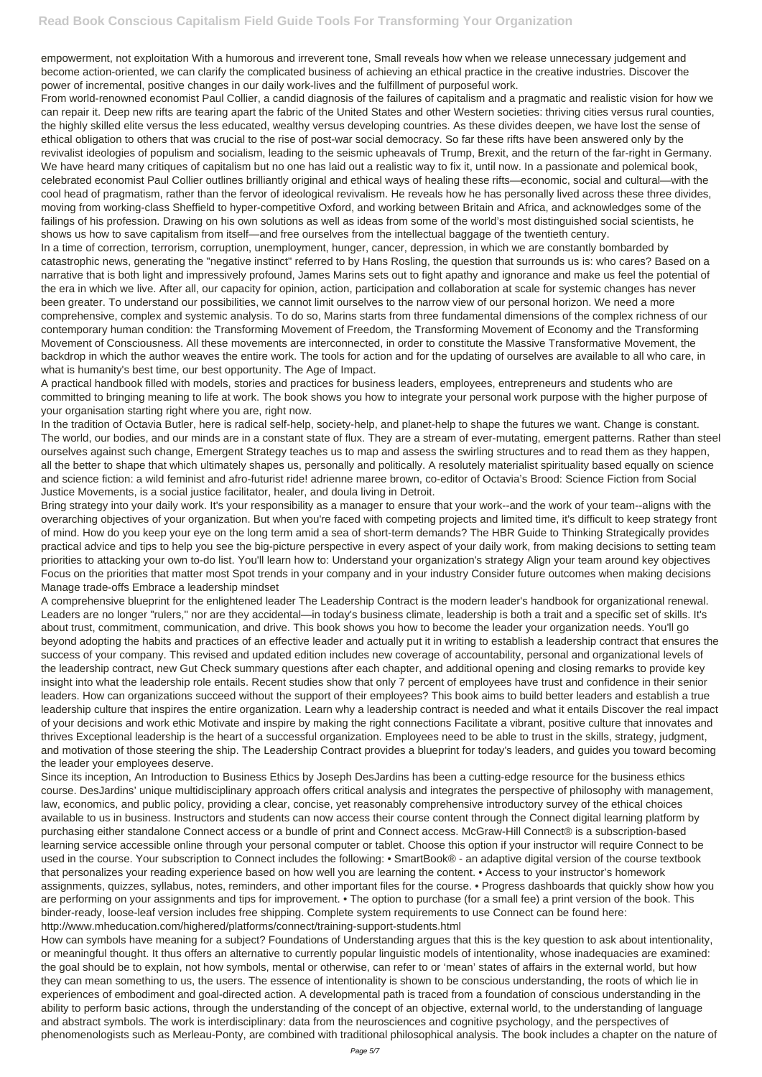empowerment, not exploitation With a humorous and irreverent tone, Small reveals how when we release unnecessary judgement and become action-oriented, we can clarify the complicated business of achieving an ethical practice in the creative industries. Discover the power of incremental, positive changes in our daily work-lives and the fulfillment of purposeful work.

From world-renowned economist Paul Collier, a candid diagnosis of the failures of capitalism and a pragmatic and realistic vision for how we can repair it. Deep new rifts are tearing apart the fabric of the United States and other Western societies: thriving cities versus rural counties, the highly skilled elite versus the less educated, wealthy versus developing countries. As these divides deepen, we have lost the sense of ethical obligation to others that was crucial to the rise of post-war social democracy. So far these rifts have been answered only by the revivalist ideologies of populism and socialism, leading to the seismic upheavals of Trump, Brexit, and the return of the far-right in Germany. We have heard many critiques of capitalism but no one has laid out a realistic way to fix it, until now. In a passionate and polemical book, celebrated economist Paul Collier outlines brilliantly original and ethical ways of healing these rifts—economic, social and cultural—with the cool head of pragmatism, rather than the fervor of ideological revivalism. He reveals how he has personally lived across these three divides, moving from working-class Sheffield to hyper-competitive Oxford, and working between Britain and Africa, and acknowledges some of the failings of his profession. Drawing on his own solutions as well as ideas from some of the world's most distinguished social scientists, he shows us how to save capitalism from itself—and free ourselves from the intellectual baggage of the twentieth century.

In a time of correction, terrorism, corruption, unemployment, hunger, cancer, depression, in which we are constantly bombarded by catastrophic news, generating the "negative instinct" referred to by Hans Rosling, the question that surrounds us is: who cares? Based on a narrative that is both light and impressively profound, James Marins sets out to fight apathy and ignorance and make us feel the potential of the era in which we live. After all, our capacity for opinion, action, participation and collaboration at scale for systemic changes has never been greater. To understand our possibilities, we cannot limit ourselves to the narrow view of our personal horizon. We need a more comprehensive, complex and systemic analysis. To do so, Marins starts from three fundamental dimensions of the complex richness of our contemporary human condition: the Transforming Movement of Freedom, the Transforming Movement of Economy and the Transforming Movement of Consciousness. All these movements are interconnected, in order to constitute the Massive Transformative Movement, the backdrop in which the author weaves the entire work. The tools for action and for the updating of ourselves are available to all who care, in what is humanity's best time, our best opportunity. The Age of Impact.

A practical handbook filled with models, stories and practices for business leaders, employees, entrepreneurs and students who are committed to bringing meaning to life at work. The book shows you how to integrate your personal work purpose with the higher purpose of your organisation starting right where you are, right now.

In the tradition of Octavia Butler, here is radical self-help, society-help, and planet-help to shape the futures we want. Change is constant. The world, our bodies, and our minds are in a constant state of flux. They are a stream of ever-mutating, emergent patterns. Rather than steel ourselves against such change, Emergent Strategy teaches us to map and assess the swirling structures and to read them as they happen, all the better to shape that which ultimately shapes us, personally and politically. A resolutely materialist spirituality based equally on science and science fiction: a wild feminist and afro-futurist ride! adrienne maree brown, co-editor of Octavia's Brood: Science Fiction from Social Justice Movements, is a social justice facilitator, healer, and doula living in Detroit.

Bring strategy into your daily work. It's your responsibility as a manager to ensure that your work--and the work of your team--aligns with the overarching objectives of your organization. But when you're faced with competing projects and limited time, it's difficult to keep strategy front of mind. How do you keep your eye on the long term amid a sea of short-term demands? The HBR Guide to Thinking Strategically provides practical advice and tips to help you see the big-picture perspective in every aspect of your daily work, from making decisions to setting team priorities to attacking your own to-do list. You'll learn how to: Understand your organization's strategy Align your team around key objectives Focus on the priorities that matter most Spot trends in your company and in your industry Consider future outcomes when making decisions Manage trade-offs Embrace a leadership mindset

A comprehensive blueprint for the enlightened leader The Leadership Contract is the modern leader's handbook for organizational renewal. Leaders are no longer "rulers," nor are they accidental—in today's business climate, leadership is both a trait and a specific set of skills. It's about trust, commitment, communication, and drive. This book shows you how to become the leader your organization needs. You'll go beyond adopting the habits and practices of an effective leader and actually put it in writing to establish a leadership contract that ensures the success of your company. This revised and updated edition includes new coverage of accountability, personal and organizational levels of the leadership contract, new Gut Check summary questions after each chapter, and additional opening and closing remarks to provide key insight into what the leadership role entails. Recent studies show that only 7 percent of employees have trust and confidence in their senior leaders. How can organizations succeed without the support of their employees? This book aims to build better leaders and establish a true leadership culture that inspires the entire organization. Learn why a leadership contract is needed and what it entails Discover the real impact of your decisions and work ethic Motivate and inspire by making the right connections Facilitate a vibrant, positive culture that innovates and thrives Exceptional leadership is the heart of a successful organization. Employees need to be able to trust in the skills, strategy, judgment, and motivation of those steering the ship. The Leadership Contract provides a blueprint for today's leaders, and guides you toward becoming the leader your employees deserve.

Since its inception, An Introduction to Business Ethics by Joseph DesJardins has been a cutting-edge resource for the business ethics course. DesJardins' unique multidisciplinary approach offers critical analysis and integrates the perspective of philosophy with management, law, economics, and public policy, providing a clear, concise, yet reasonably comprehensive introductory survey of the ethical choices available to us in business. Instructors and students can now access their course content through the Connect digital learning platform by purchasing either standalone Connect access or a bundle of print and Connect access. McGraw-Hill Connect® is a subscription-based learning service accessible online through your personal computer or tablet. Choose this option if your instructor will require Connect to be used in the course. Your subscription to Connect includes the following: • SmartBook® - an adaptive digital version of the course textbook that personalizes your reading experience based on how well you are learning the content. • Access to your instructor's homework assignments, quizzes, syllabus, notes, reminders, and other important files for the course. • Progress dashboards that quickly show how you are performing on your assignments and tips for improvement. • The option to purchase (for a small fee) a print version of the book. This binder-ready, loose-leaf version includes free shipping. Complete system requirements to use Connect can be found here: http://www.mheducation.com/highered/platforms/connect/training-support-students.html How can symbols have meaning for a subject? Foundations of Understanding argues that this is the key question to ask about intentionality, or meaningful thought. It thus offers an alternative to currently popular linguistic models of intentionality, whose inadequacies are examined: the goal should be to explain, not how symbols, mental or otherwise, can refer to or 'mean' states of affairs in the external world, but how they can mean something to us, the users. The essence of intentionality is shown to be conscious understanding, the roots of which lie in experiences of embodiment and goal-directed action. A developmental path is traced from a foundation of conscious understanding in the ability to perform basic actions, through the understanding of the concept of an objective, external world, to the understanding of language and abstract symbols. The work is interdisciplinary: data from the neurosciences and cognitive psychology, and the perspectives of phenomenologists such as Merleau-Ponty, are combined with traditional philosophical analysis. The book includes a chapter on the nature of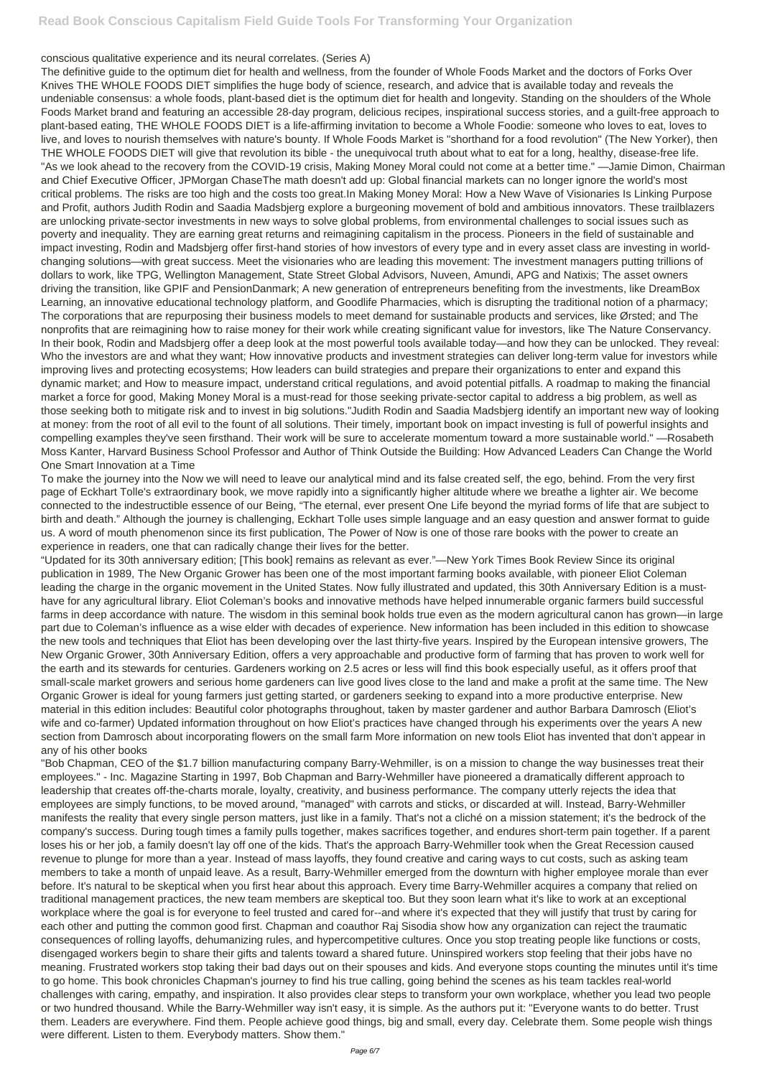## conscious qualitative experience and its neural correlates. (Series A)

The definitive guide to the optimum diet for health and wellness, from the founder of Whole Foods Market and the doctors of Forks Over Knives THE WHOLE FOODS DIET simplifies the huge body of science, research, and advice that is available today and reveals the undeniable consensus: a whole foods, plant-based diet is the optimum diet for health and longevity. Standing on the shoulders of the Whole Foods Market brand and featuring an accessible 28-day program, delicious recipes, inspirational success stories, and a guilt-free approach to plant-based eating, THE WHOLE FOODS DIET is a life-affirming invitation to become a Whole Foodie: someone who loves to eat, loves to live, and loves to nourish themselves with nature's bounty. If Whole Foods Market is "shorthand for a food revolution" (The New Yorker), then THE WHOLE FOODS DIET will give that revolution its bible - the unequivocal truth about what to eat for a long, healthy, disease-free life. "As we look ahead to the recovery from the COVID-19 crisis, Making Money Moral could not come at a better time." —Jamie Dimon, Chairman and Chief Executive Officer, JPMorgan ChaseThe math doesn't add up: Global financial markets can no longer ignore the world's most critical problems. The risks are too high and the costs too great.In Making Money Moral: How a New Wave of Visionaries Is Linking Purpose and Profit, authors Judith Rodin and Saadia Madsbjerg explore a burgeoning movement of bold and ambitious innovators. These trailblazers are unlocking private-sector investments in new ways to solve global problems, from environmental challenges to social issues such as poverty and inequality. They are earning great returns and reimagining capitalism in the process. Pioneers in the field of sustainable and impact investing, Rodin and Madsbjerg offer first-hand stories of how investors of every type and in every asset class are investing in worldchanging solutions—with great success. Meet the visionaries who are leading this movement: The investment managers putting trillions of dollars to work, like TPG, Wellington Management, State Street Global Advisors, Nuveen, Amundi, APG and Natixis; The asset owners driving the transition, like GPIF and PensionDanmark; A new generation of entrepreneurs benefiting from the investments, like DreamBox Learning, an innovative educational technology platform, and Goodlife Pharmacies, which is disrupting the traditional notion of a pharmacy; The corporations that are repurposing their business models to meet demand for sustainable products and services, like Ørsted; and The nonprofits that are reimagining how to raise money for their work while creating significant value for investors, like The Nature Conservancy. In their book, Rodin and Madsbjerg offer a deep look at the most powerful tools available today—and how they can be unlocked. They reveal: Who the investors are and what they want; How innovative products and investment strategies can deliver long-term value for investors while improving lives and protecting ecosystems; How leaders can build strategies and prepare their organizations to enter and expand this dynamic market; and How to measure impact, understand critical regulations, and avoid potential pitfalls. A roadmap to making the financial market a force for good, Making Money Moral is a must-read for those seeking private-sector capital to address a big problem, as well as those seeking both to mitigate risk and to invest in big solutions."Judith Rodin and Saadia Madsbjerg identify an important new way of looking at money: from the root of all evil to the fount of all solutions. Their timely, important book on impact investing is full of powerful insights and compelling examples they've seen firsthand. Their work will be sure to accelerate momentum toward a more sustainable world." —Rosabeth Moss Kanter, Harvard Business School Professor and Author of Think Outside the Building: How Advanced Leaders Can Change the World One Smart Innovation at a Time

To make the journey into the Now we will need to leave our analytical mind and its false created self, the ego, behind. From the very first page of Eckhart Tolle's extraordinary book, we move rapidly into a significantly higher altitude where we breathe a lighter air. We become connected to the indestructible essence of our Being, "The eternal, ever present One Life beyond the myriad forms of life that are subject to birth and death." Although the journey is challenging, Eckhart Tolle uses simple language and an easy question and answer format to guide us. A word of mouth phenomenon since its first publication, The Power of Now is one of those rare books with the power to create an experience in readers, one that can radically change their lives for the better.

"Updated for its 30th anniversary edition; [This book] remains as relevant as ever."—New York Times Book Review Since its original publication in 1989, The New Organic Grower has been one of the most important farming books available, with pioneer Eliot Coleman leading the charge in the organic movement in the United States. Now fully illustrated and updated, this 30th Anniversary Edition is a musthave for any agricultural library. Eliot Coleman's books and innovative methods have helped innumerable organic farmers build successful farms in deep accordance with nature. The wisdom in this seminal book holds true even as the modern agricultural canon has grown—in large part due to Coleman's influence as a wise elder with decades of experience. New information has been included in this edition to showcase the new tools and techniques that Eliot has been developing over the last thirty-five years. Inspired by the European intensive growers, The New Organic Grower, 30th Anniversary Edition, offers a very approachable and productive form of farming that has proven to work well for the earth and its stewards for centuries. Gardeners working on 2.5 acres or less will find this book especially useful, as it offers proof that small-scale market growers and serious home gardeners can live good lives close to the land and make a profit at the same time. The New Organic Grower is ideal for young farmers just getting started, or gardeners seeking to expand into a more productive enterprise. New material in this edition includes: Beautiful color photographs throughout, taken by master gardener and author Barbara Damrosch (Eliot's wife and co-farmer) Updated information throughout on how Eliot's practices have changed through his experiments over the years A new section from Damrosch about incorporating flowers on the small farm More information on new tools Eliot has invented that don't appear in any of his other books

"Bob Chapman, CEO of the \$1.7 billion manufacturing company Barry-Wehmiller, is on a mission to change the way businesses treat their employees." - Inc. Magazine Starting in 1997, Bob Chapman and Barry-Wehmiller have pioneered a dramatically different approach to leadership that creates off-the-charts morale, loyalty, creativity, and business performance. The company utterly rejects the idea that employees are simply functions, to be moved around, "managed" with carrots and sticks, or discarded at will. Instead, Barry-Wehmiller

manifests the reality that every single person matters, just like in a family. That's not a cliché on a mission statement; it's the bedrock of the company's success. During tough times a family pulls together, makes sacrifices together, and endures short-term pain together. If a parent loses his or her job, a family doesn't lay off one of the kids. That's the approach Barry-Wehmiller took when the Great Recession caused revenue to plunge for more than a year. Instead of mass layoffs, they found creative and caring ways to cut costs, such as asking team members to take a month of unpaid leave. As a result, Barry-Wehmiller emerged from the downturn with higher employee morale than ever before. It's natural to be skeptical when you first hear about this approach. Every time Barry-Wehmiller acquires a company that relied on traditional management practices, the new team members are skeptical too. But they soon learn what it's like to work at an exceptional workplace where the goal is for everyone to feel trusted and cared for--and where it's expected that they will justify that trust by caring for each other and putting the common good first. Chapman and coauthor Raj Sisodia show how any organization can reject the traumatic consequences of rolling layoffs, dehumanizing rules, and hypercompetitive cultures. Once you stop treating people like functions or costs, disengaged workers begin to share their gifts and talents toward a shared future. Uninspired workers stop feeling that their jobs have no meaning. Frustrated workers stop taking their bad days out on their spouses and kids. And everyone stops counting the minutes until it's time to go home. This book chronicles Chapman's journey to find his true calling, going behind the scenes as his team tackles real-world challenges with caring, empathy, and inspiration. It also provides clear steps to transform your own workplace, whether you lead two people or two hundred thousand. While the Barry-Wehmiller way isn't easy, it is simple. As the authors put it: "Everyone wants to do better. Trust them. Leaders are everywhere. Find them. People achieve good things, big and small, every day. Celebrate them. Some people wish things were different. Listen to them. Everybody matters. Show them."